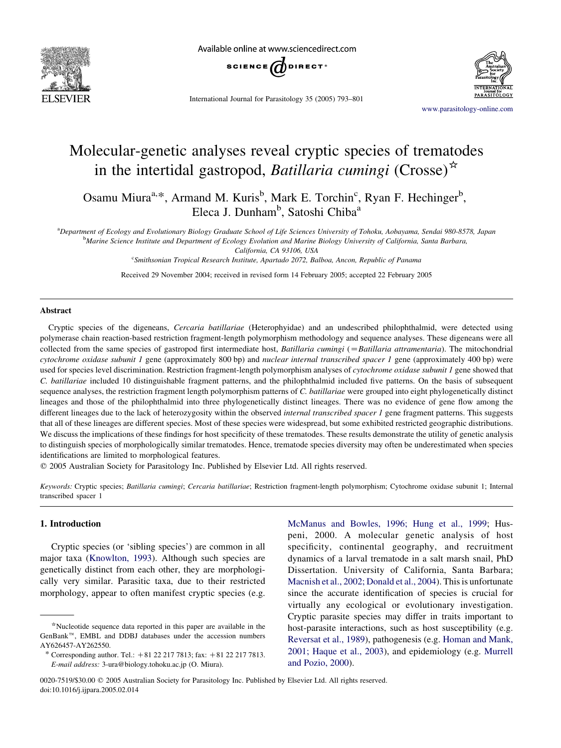

Available online at www.sciencedirect.com



International Journal for Parasitology 35 (2005) 793–801

[www.parasitology-online.com](http://www.elsevier.com/locate/PARA)

# Molecular-genetic analyses reveal cryptic species of trematodes in the intertidal gastropod, *Batillaria cumingi* (Crosse)<sup> $\star$ </sup>

Osamu Miura<sup>a,\*</sup>, Armand M. Kuris<sup>b</sup>, Mark E. Torchin<sup>c</sup>, Ryan F. Hechinger<sup>b</sup>, Eleca J. Dunham<sup>b</sup>, Satoshi Chiba<sup>a</sup>

a Department of Ecology and Evolutionary Biology Graduate School of Life Sciences University of Tohoku, Aobayama, Sendai 980-8578, Japan **Marine Science Institute and Department of Ecology Evolution and Marine Biology University of California, Santa Barbara,** 

California, CA 93106, USA

<sup>c</sup>Smithsonian Tropical Research Institute, Apartado 2072, Balboa, Ancon, Republic of Panama

Received 29 November 2004; received in revised form 14 February 2005; accepted 22 February 2005

## Abstract

Cryptic species of the digeneans, Cercaria batillariae (Heterophyidae) and an undescribed philophthalmid, were detected using polymerase chain reaction-based restriction fragment-length polymorphism methodology and sequence analyses. These digeneans were all collected from the same species of gastropod first intermediate host, *Batillaria cumingi* ( $=$ *Batillaria attramentaria*). The mitochondrial cytochrome oxidase subunit 1 gene (approximately 800 bp) and nuclear internal transcribed spacer 1 gene (approximately 400 bp) were used for species level discrimination. Restriction fragment-length polymorphism analyses of cytochrome oxidase subunit 1 gene showed that C. batillariae included 10 distinguishable fragment patterns, and the philophthalmid included five patterns. On the basis of subsequent sequence analyses, the restriction fragment length polymorphism patterns of C. batillariae were grouped into eight phylogenetically distinct lineages and those of the philophthalmid into three phylogenetically distinct lineages. There was no evidence of gene flow among the different lineages due to the lack of heterozygosity within the observed *internal transcribed spacer 1* gene fragment patterns. This suggests that all of these lineages are different species. Most of these species were widespread, but some exhibited restricted geographic distributions. We discuss the implications of these findings for host specificity of these trematodes. These results demonstrate the utility of genetic analysis to distinguish species of morphologically similar trematodes. Hence, trematode species diversity may often be underestimated when species identifications are limited to morphological features.

 $©$  2005 Australian Society for Parasitology Inc. Published by Elsevier Ltd. All rights reserved.

Keywords: Cryptic species; Batillaria cumingi; Cercaria batillariae; Restriction fragment-length polymorphism; Cytochrome oxidase subunit 1; Internal transcribed spacer 1

# 1. Introduction

Cryptic species (or 'sibling species') are common in all major taxa ([Knowlton, 1993](#page-8-0)). Although such species are genetically distinct from each other, they are morphologically very similar. Parasitic taxa, due to their restricted morphology, appear to often manifest cryptic species (e.g.

[McManus and Bowles, 1996; Hung et al., 1999;](#page-8-0) Huspeni, 2000. A molecular genetic analysis of host specificity, continental geography, and recruitment dynamics of a larval trematode in a salt marsh snail, PhD Dissertation. University of California, Santa Barbara; [Macnish et al., 2002; Donald et al., 2004](#page-8-0)). This is unfortunate since the accurate identification of species is crucial for virtually any ecological or evolutionary investigation. Cryptic parasite species may differ in traits important to host-parasite interactions, such as host susceptibility (e.g. [Reversat et al., 1989](#page-8-0)), pathogenesis (e.g. [Homan and Mank,](#page-8-0) [2001; Haque et al., 2003](#page-8-0)), and epidemiology (e.g. [Murrell](#page-8-0) [and Pozio, 2000](#page-8-0)).

<sup>\*</sup>Nucleotide sequence data reported in this paper are available in the  $GenBank^{TM}$ , EMBL and DDBJ databases under the accession numbers AY626457-AY262550.

<sup>\*</sup> Corresponding author. Tel.:  $+81 22 217 7813$ ; fax:  $+81 22 217 7813$ . E-mail address: 3-ura@biology.tohoku.ac.jp (O. Miura).

<sup>0020-7519/\$30.00 © 2005</sup> Australian Society for Parasitology Inc. Published by Elsevier Ltd. All rights reserved. doi:10.1016/j.ijpara.2005.02.014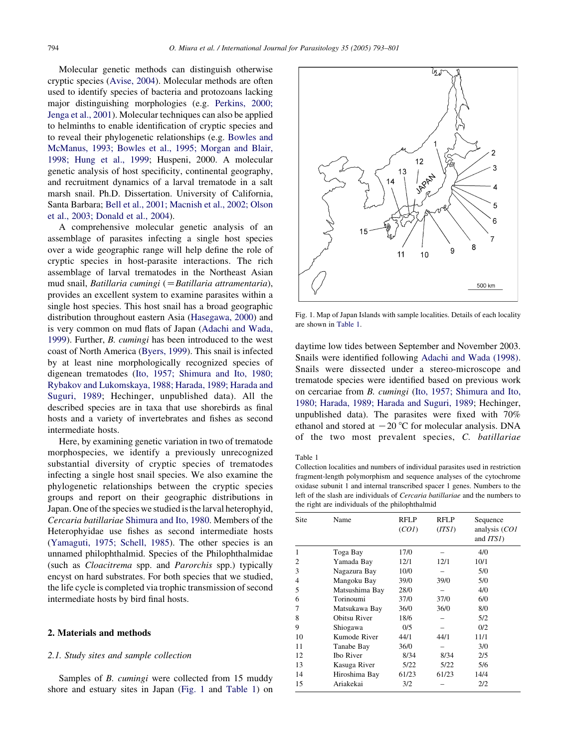<span id="page-1-0"></span>Molecular genetic methods can distinguish otherwise cryptic species [\(Avise, 2004\)](#page-8-0). Molecular methods are often used to identify species of bacteria and protozoans lacking major distinguishing morphologies (e.g. [Perkins, 2000;](#page-8-0) [Jenga et al., 2001\)](#page-8-0). Molecular techniques can also be applied to helminths to enable identification of cryptic species and to reveal their phylogenetic relationships (e.g. [Bowles and](#page-8-0) [McManus, 1993; Bowles et al., 1995; Morgan and Blair,](#page-8-0) [1998; Hung et al., 1999](#page-8-0); Huspeni, 2000. A molecular genetic analysis of host specificity, continental geography, and recruitment dynamics of a larval trematode in a salt marsh snail. Ph.D. Dissertation. University of California, Santa Barbara; [Bell et al., 2001; Macnish et al., 2002; Olson](#page-8-0) [et al., 2003; Donald et al., 2004\)](#page-8-0).

A comprehensive molecular genetic analysis of an assemblage of parasites infecting a single host species over a wide geographic range will help define the role of cryptic species in host-parasite interactions. The rich assemblage of larval trematodes in the Northeast Asian mud snail, Batillaria cumingi ( $=Batillaria$  attramentaria), provides an excellent system to examine parasites within a single host species. This host snail has a broad geographic distribution throughout eastern Asia ([Hasegawa, 2000](#page-8-0)) and is very common on mud flats of Japan [\(Adachi and Wada,](#page-8-0) [1999\)](#page-8-0). Further, B. cumingi has been introduced to the west coast of North America [\(Byers, 1999\)](#page-8-0). This snail is infected by at least nine morphologically recognized species of digenean trematodes ([Ito, 1957; Shimura and Ito, 1980;](#page-8-0) [Rybakov and Lukomskaya, 1988; Harada, 1989; Harada and](#page-8-0) [Suguri, 1989](#page-8-0); Hechinger, unpublished data). All the described species are in taxa that use shorebirds as final hosts and a variety of invertebrates and fishes as second intermediate hosts.

Here, by examining genetic variation in two of trematode morphospecies, we identify a previously unrecognized substantial diversity of cryptic species of trematodes infecting a single host snail species. We also examine the phylogenetic relationships between the cryptic species groups and report on their geographic distributions in Japan. One of the species we studied is the larval heterophyid, Cercaria batillariae [Shimura and Ito, 1980](#page-8-0). Members of the Heterophyidae use fishes as second intermediate hosts ([Yamaguti, 1975; Schell, 1985\)](#page-8-0). The other species is an unnamed philophthalmid. Species of the Philophthalmidae (such as Cloacitrema spp. and Parorchis spp.) typically encyst on hard substrates. For both species that we studied, the life cycle is completed via trophic transmission of second intermediate hosts by bird final hosts.

## 2. Materials and methods

### 2.1. Study sites and sample collection

Samples of *B. cumingi* were collected from 15 muddy shore and estuary sites in Japan (Fig. 1 and Table 1) on



Fig. 1. Map of Japan Islands with sample localities. Details of each locality are shown in Table 1.

daytime low tides between September and November 2003. Snails were identified following [Adachi and Wada \(1998\)](#page-8-0). Snails were dissected under a stereo-microscope and trematode species were identified based on previous work on cercariae from B. cumingi ([Ito, 1957; Shimura and Ito,](#page-8-0) [1980; Harada, 1989; Harada and Suguri, 1989;](#page-8-0) Hechinger, unpublished data). The parasites were fixed with 70% ethanol and stored at  $-20$  °C for molecular analysis. DNA of the two most prevalent species, C. batillariae

#### Table 1

Collection localities and numbers of individual parasites used in restriction fragment-length polymorphism and sequence analyses of the cytochrome oxidase subunit 1 and internal transcribed spacer 1 genes. Numbers to the left of the slash are individuals of Cercaria batillariae and the numbers to the right are individuals of the philophthalmid

| Site | Name             | RFLP<br>(CO1) | RFLP<br>(TTSI) | Sequence<br>analysis (CO1<br>and <i>ITSI</i> ) |
|------|------------------|---------------|----------------|------------------------------------------------|
| 1    | Toga Bay         | 17/0          |                | 4/0                                            |
| 2    | Yamada Bay       | 12/1          | 12/1           | 10/1                                           |
| 3    | Nagazura Bay     | 10/0          |                | 5/0                                            |
| 4    | Mangoku Bay      | 39/0          | 39/0           | 5/0                                            |
| 5    | Matsushima Bay   | 28/0          |                | 4/0                                            |
| 6    | Torinoumi        | 37/0          | 37/0           | 6/0                                            |
| 7    | Matsukawa Bay    | 36/0          | 36/0           | 8/0                                            |
| 8    | Obitsu River     | 18/6          |                | 5/2                                            |
| 9    | Shiogawa         | 0/5           |                | 0/2                                            |
| 10   | Kumode River     | 44/1          | 44/1           | 11/1                                           |
| 11   | Tanabe Bay       | 36/0          |                | 3/0                                            |
| 12   | <b>Ibo River</b> | 8/34          | 8/34           | 2/5                                            |
| 13   | Kasuga River     | 5/22          | 5/22           | 5/6                                            |
| 14   | Hiroshima Bay    | 61/23         | 61/23          | 14/4                                           |
| 15   | Ariakekai        | 3/2           |                | 2/2                                            |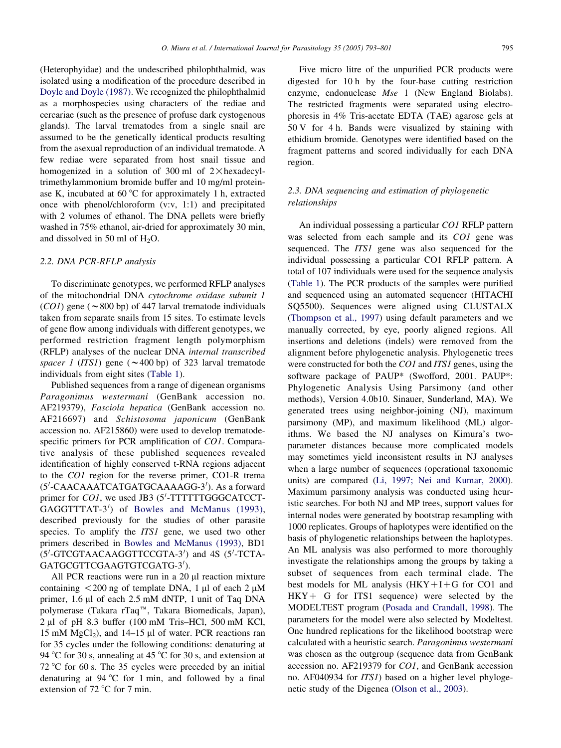(Heterophyidae) and the undescribed philophthalmid, was isolated using a modification of the procedure described in [Doyle and Doyle \(1987\)](#page-8-0). We recognized the philophthalmid as a morphospecies using characters of the rediae and cercariae (such as the presence of profuse dark cystogenous glands). The larval trematodes from a single snail are assumed to be the genetically identical products resulting from the asexual reproduction of an individual trematode. A few rediae were separated from host snail tissue and homogenized in a solution of 300 ml of  $2 \times$ hexadecyltrimethylammonium bromide buffer and 10 mg/ml proteinase K, incubated at  $60^{\circ}$ C for approximately 1 h, extracted once with phenol/chloroform (v:v, 1:1) and precipitated with 2 volumes of ethanol. The DNA pellets were briefly washed in 75% ethanol, air-dried for approximately 30 min, and dissolved in 50 ml of  $H_2O$ .

# 2.2. DNA PCR-RFLP analysis

To discriminate genotypes, we performed RFLP analyses of the mitochondrial DNA cytochrome oxidase subunit 1  $(CO1)$  gene ( $\sim$ 800 bp) of 447 larval trematode individuals taken from separate snails from 15 sites. To estimate levels of gene flow among individuals with different genotypes, we performed restriction fragment length polymorphism (RFLP) analyses of the nuclear DNA internal transcribed spacer 1 (ITS1) gene ( $\sim$ 400 bp) of 323 larval trematode individuals from eight sites ([Table 1](#page-1-0)).

Published sequences from a range of digenean organisms Paragonimus westermani (GenBank accession no. AF219379), Fasciola hepatica (GenBank accession no. AF216697) and Schistosoma japonicum (GenBank accession no. AF215860) were used to develop trematodespecific primers for PCR amplification of *CO1*. Comparative analysis of these published sequences revealed identification of highly conserved t-RNA regions adjacent to the CO1 region for the reverse primer, CO1-R trema (5'-CAACAAATCATGATGCAAAAGG-3'). As a forward primer for CO1, we used JB3 (5'-TTTTTTGGGCATCCT-GAGGTTTAT-3<sup>'</sup>) of [Bowles and McManus \(1993\)](#page-8-0), described previously for the studies of other parasite species. To amplify the *ITS1* gene, we used two other primers described in [Bowles and McManus \(1993\)](#page-8-0), BD1 (5'-GTCGTAACAAGGTTCCGTA-3') and 4S (5'-TCTA-GATGCGTTCGAAGTGTCGATG-3').

All PCR reactions were run in a  $20 \mu l$  reaction mixture containing  $\langle 200 \text{ ng of template DNA}, 1 \text{ µl of each } 2 \text{ µM}$ primer, 1.6 µl of each 2.5 mM dNTP, 1 unit of Taq DNA polymerase (Takara rTaq<sup>™</sup>, Takara Biomedicals, Japan),  $2 \mu l$  of pH 8.3 buffer (100 mM Tris–HCl, 500 mM KCl, 15 mM  $MgCl<sub>2</sub>$ ), and 14–15 µl of water. PCR reactions ran for 35 cycles under the following conditions: denaturing at 94 °C for 30 s, annealing at 45 °C for 30 s, and extension at 72 °C for 60 s. The 35 cycles were preceded by an initial denaturing at  $94^{\circ}$ C for 1 min, and followed by a final extension of  $72^{\circ}$ C for 7 min.

Five micro litre of the unpurified PCR products were digested for 10 h by the four-base cutting restriction enzyme, endonuclease *Mse* 1 (New England Biolabs). The restricted fragments were separated using electrophoresis in 4% Tris-acetate EDTA (TAE) agarose gels at 50 V for 4 h. Bands were visualized by staining with ethidium bromide. Genotypes were identified based on the fragment patterns and scored individually for each DNA region.

# 2.3. DNA sequencing and estimation of phylogenetic relationships

An individual possessing a particular CO1 RFLP pattern was selected from each sample and its CO1 gene was sequenced. The *ITS1* gene was also sequenced for the individual possessing a particular CO1 RFLP pattern. A total of 107 individuals were used for the sequence analysis ([Table 1](#page-1-0)). The PCR products of the samples were purified and sequenced using an automated sequencer (HITACHI SQ5500). Sequences were aligned using CLUSTALX ([Thompson et al., 1997\)](#page-8-0) using default parameters and we manually corrected, by eye, poorly aligned regions. All insertions and deletions (indels) were removed from the alignment before phylogenetic analysis. Phylogenetic trees were constructed for both the *CO1* and *ITS1* genes, using the software package of PAUP\* (Swofford, 2001. PAUP\*: Phylogenetic Analysis Using Parsimony (and other methods), Version 4.0b10. Sinauer, Sunderland, MA). We generated trees using neighbor-joining (NJ), maximum parsimony (MP), and maximum likelihood (ML) algorithms. We based the NJ analyses on Kimura's twoparameter distances because more complicated models may sometimes yield inconsistent results in NJ analyses when a large number of sequences (operational taxonomic units) are compared [\(Li, 1997; Nei and Kumar, 2000\)](#page-8-0). Maximum parsimony analysis was conducted using heuristic searches. For both NJ and MP trees, support values for internal nodes were generated by bootstrap resampling with 1000 replicates. Groups of haplotypes were identified on the basis of phylogenetic relationships between the haplotypes. An ML analysis was also performed to more thoroughly investigate the relationships among the groups by taking a subset of sequences from each terminal clade. The best models for ML analysis  $(HKY+I+G$  for CO1 and  $HKY + G$  for ITS1 sequence) were selected by the MODELTEST program [\(Posada and Crandall, 1998\)](#page-8-0). The parameters for the model were also selected by Modeltest. One hundred replications for the likelihood bootstrap were calculated with a heuristic search. Paragonimus westermani was chosen as the outgroup (sequence data from GenBank accession no. AF219379 for CO1, and GenBank accession no. AF040934 for ITS1) based on a higher level phylogenetic study of the Digenea ([Olson et al., 2003](#page-8-0)).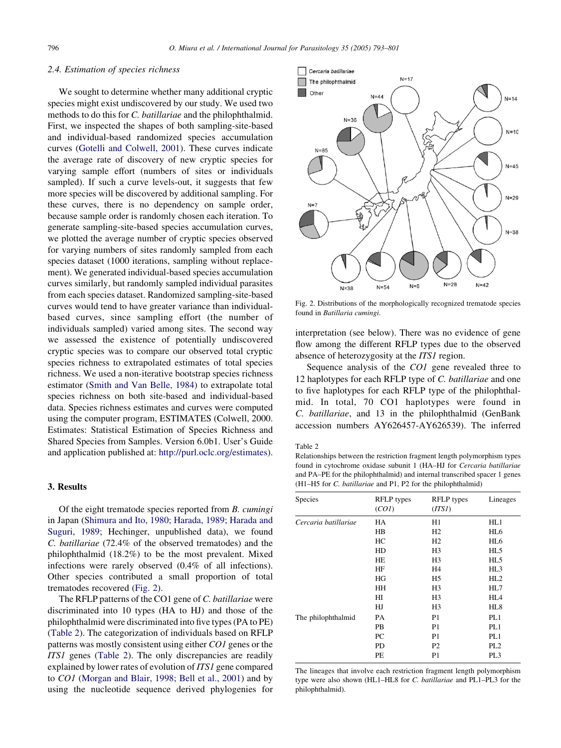## <span id="page-3-0"></span>2.4. Estimation of species richness

We sought to determine whether many additional cryptic species might exist undiscovered by our study. We used two methods to do this for C. batillariae and the philophthalmid. First, we inspected the shapes of both sampling-site-based and individual-based randomized species accumulation curves ([Gotelli and Colwell, 2001](#page-8-0)). These curves indicate the average rate of discovery of new cryptic species for varying sample effort (numbers of sites or individuals sampled). If such a curve levels-out, it suggests that few more species will be discovered by additional sampling. For these curves, there is no dependency on sample order, because sample order is randomly chosen each iteration. To generate sampling-site-based species accumulation curves, we plotted the average number of cryptic species observed for varying numbers of sites randomly sampled from each species dataset (1000 iterations, sampling without replacement). We generated individual-based species accumulation curves similarly, but randomly sampled individual parasites from each species dataset. Randomized sampling-site-based curves would tend to have greater variance than individualbased curves, since sampling effort (the number of individuals sampled) varied among sites. The second way we assessed the existence of potentially undiscovered cryptic species was to compare our observed total cryptic species richness to extrapolated estimates of total species richness. We used a non-iterative bootstrap species richness estimator ([Smith and Van Belle, 1984](#page-8-0)) to extrapolate total species richness on both site-based and individual-based data. Species richness estimates and curves were computed using the computer program, ESTIMATES (Colwell, 2000. Estimates: Statistical Estimation of Species Richness and Shared Species from Samples. Version 6.0b1. User's Guide and application published at: [http://purl.oclc.org/estimates\)](http://purl.oclc.org/estimates).

# 3. Results

Of the eight trematode species reported from B. cumingi in Japan ([Shimura and Ito, 1980; Harada, 1989; Harada and](#page-8-0) [Suguri, 1989;](#page-8-0) Hechinger, unpublished data), we found C. batillariae (72.4% of the observed trematodes) and the philophthalmid (18.2%) to be the most prevalent. Mixed infections were rarely observed (0.4% of all infections). Other species contributed a small proportion of total trematodes recovered (Fig. 2).

The RFLP patterns of the CO1 gene of C. batillariae were discriminated into 10 types (HA to HJ) and those of the philophthalmid were discriminated into five types (PA to PE) (Table 2). The categorization of individuals based on RFLP patterns was mostly consistent using either CO1 genes or the ITS1 genes (Table 2). The only discrepancies are readily explained by lower rates of evolution of ITS1 gene compared to CO1 ([Morgan and Blair, 1998; Bell et al., 2001\)](#page-8-0) and by using the nucleotide sequence derived phylogenies for



Fig. 2. Distributions of the morphologically recognized trematode species found in Batillaria cumingi.

interpretation (see below). There was no evidence of gene flow among the different RFLP types due to the observed absence of heterozygosity at the *ITS1* region.

Sequence analysis of the *CO1* gene revealed three to 12 haplotypes for each RFLP type of C. batillariae and one to five haplotypes for each RFLP type of the philophthalmid. In total, 70 CO1 haplotypes were found in C. batillariae, and 13 in the philophthalmid (GenBank accession numbers AY626457-AY626539). The inferred

Table 2

Relationships between the restriction fragment length polymorphism types found in cytochrome oxidase subunit 1 (HA–HJ for Cercaria batillariae and PA–PE for the philophthalmid) and internal transcribed spacer 1 genes (H1–H5 for C. batillariae and P1, P2 for the philophthalmid)

| <b>RFLP</b> types<br>(CO1) | <b>RFLP</b> types<br>(TTSI) | Lineages        |
|----------------------------|-----------------------------|-----------------|
| HA                         | H1                          | HL1             |
| HB                         | H <sub>2</sub>              | HL <sub>6</sub> |
| HC.                        | H <sub>2</sub>              | HL <sub>6</sub> |
| <b>HD</b>                  | H <sub>3</sub>              | HL <sub>5</sub> |
| HE                         | H <sub>3</sub>              | HL <sub>5</sub> |
| HF                         | H <sub>4</sub>              | HL3             |
| HG                         | H <sub>5</sub>              | HL2             |
| HH                         | H <sub>3</sub>              | HL7             |
| HІ                         | H <sub>3</sub>              | HL <sub>4</sub> |
| HJ                         | H <sub>3</sub>              | HL8             |
| PA                         | P <sub>1</sub>              | PL1             |
| PB                         | P1                          | PL1             |
| PC                         | P1                          | PL1             |
| <b>PD</b>                  | P <sub>2</sub>              | PL <sub>2</sub> |
| PЕ                         | P1                          | PL <sub>3</sub> |
|                            |                             |                 |

The lineages that involve each restriction fragment length polymorphism type were also shown (HL1–HL8 for C. batillariae and PL1–PL3 for the philophthalmid).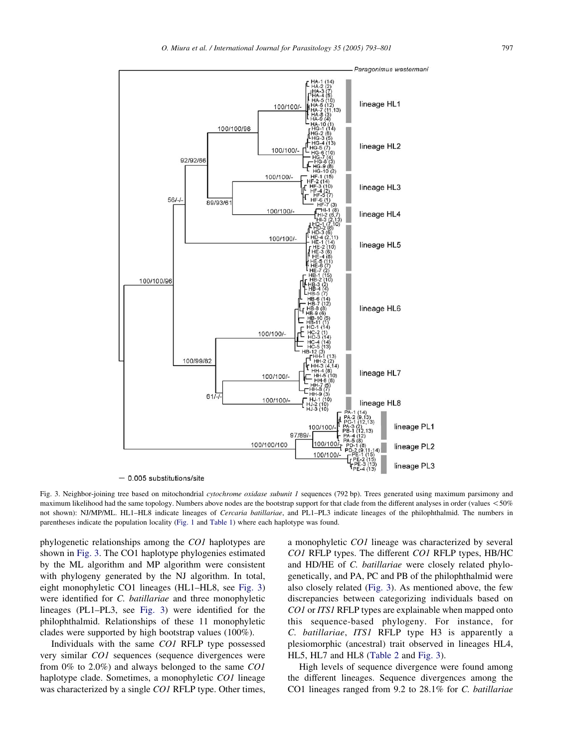<span id="page-4-0"></span>

 $-$  0.005 substitutions/site

Fig. 3. Neighbor-joining tree based on mitochondrial cytochrome oxidase subunit 1 sequences (792 bp). Trees generated using maximum parsimony and maximum likelihood had the same topology. Numbers above nodes are the bootstrap support for that clade from the different analyses in order (values  $< 50\%$ not shown): NJ/MP/ML. HL1–HL8 indicate lineages of Cercaria batillariae, and PL1–PL3 indicate lineages of the philophthalmid. The numbers in parentheses indicate the population locality [\(Fig. 1](#page-1-0) and [Table 1](#page-1-0)) where each haplotype was found.

phylogenetic relationships among the CO1 haplotypes are shown in Fig. 3. The CO1 haplotype phylogenies estimated by the ML algorithm and MP algorithm were consistent with phylogeny generated by the NJ algorithm. In total, eight monophyletic CO1 lineages (HL1–HL8, see Fig. 3) were identified for C. batillariae and three monophyletic lineages (PL1–PL3, see Fig. 3) were identified for the philophthalmid. Relationships of these 11 monophyletic clades were supported by high bootstrap values (100%).

Individuals with the same CO1 RFLP type possessed very similar CO1 sequences (sequence divergences were from 0% to 2.0%) and always belonged to the same CO1 haplotype clade. Sometimes, a monophyletic CO1 lineage was characterized by a single *CO1* RFLP type. Other times, a monophyletic CO1 lineage was characterized by several CO1 RFLP types. The different CO1 RFLP types, HB/HC and HD/HE of C. batillariae were closely related phylogenetically, and PA, PC and PB of the philophthalmid were also closely related (Fig. 3). As mentioned above, the few discrepancies between categorizing individuals based on CO1 or ITS1 RFLP types are explainable when mapped onto this sequence-based phylogeny. For instance, for C. batillariae, ITS1 RFLP type H3 is apparently a plesiomorphic (ancestral) trait observed in lineages HL4, HL5, HL7 and HL8 ([Table 2](#page-3-0) and Fig. 3).

High levels of sequence divergence were found among the different lineages. Sequence divergences among the CO1 lineages ranged from 9.2 to 28.1% for C. batillariae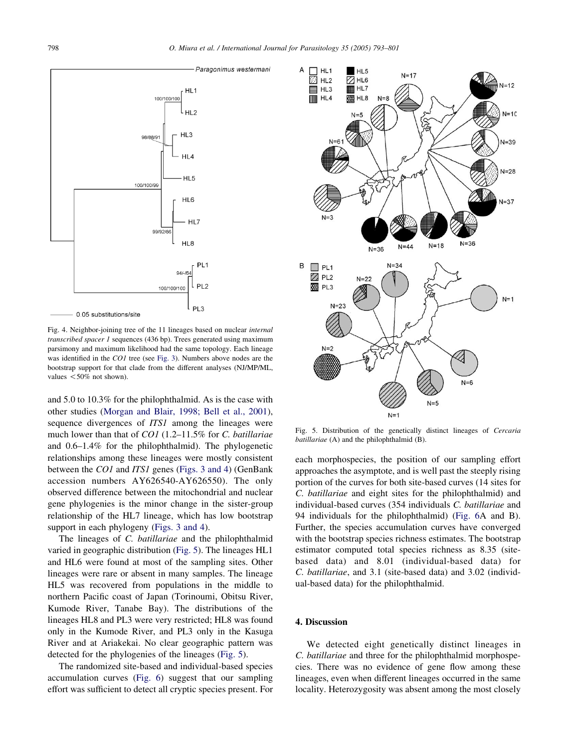

Fig. 4. Neighbor-joining tree of the 11 lineages based on nuclear internal transcribed spacer 1 sequences (436 bp). Trees generated using maximum parsimony and maximum likelihood had the same topology. Each lineage was identified in the CO1 tree (see [Fig. 3](#page-4-0)). Numbers above nodes are the bootstrap support for that clade from the different analyses (NJ/MP/ML, values  $< 50\%$  not shown).

and 5.0 to 10.3% for the philophthalmid. As is the case with other studies ([Morgan and Blair, 1998; Bell et al., 2001\)](#page-8-0), sequence divergences of *ITS1* among the lineages were much lower than that of CO1 (1.2–11.5% for C. batillariae and 0.6–1.4% for the philophthalmid). The phylogenetic relationships among these lineages were mostly consistent between the CO1 and ITS1 genes ([Figs. 3 and 4\)](#page-4-0) (GenBank accession numbers AY626540-AY626550). The only observed difference between the mitochondrial and nuclear gene phylogenies is the minor change in the sister-group relationship of the HL7 lineage, which has low bootstrap support in each phylogeny [\(Figs. 3 and 4](#page-4-0)).

The lineages of C. batillariae and the philophthalmid varied in geographic distribution (Fig. 5). The lineages HL1 and HL6 were found at most of the sampling sites. Other lineages were rare or absent in many samples. The lineage HL5 was recovered from populations in the middle to northern Pacific coast of Japan (Torinoumi, Obitsu River, Kumode River, Tanabe Bay). The distributions of the lineages HL8 and PL3 were very restricted; HL8 was found only in the Kumode River, and PL3 only in the Kasuga River and at Ariakekai. No clear geographic pattern was detected for the phylogenies of the lineages (Fig. 5).

The randomized site-based and individual-based species accumulation curves ([Fig. 6\)](#page-6-0) suggest that our sampling effort was sufficient to detect all cryptic species present. For



Fig. 5. Distribution of the genetically distinct lineages of Cercaria batillariae (A) and the philophthalmid (B).

each morphospecies, the position of our sampling effort approaches the asymptote, and is well past the steeply rising portion of the curves for both site-based curves (14 sites for C. batillariae and eight sites for the philophthalmid) and individual-based curves (354 individuals C. batillariae and 94 individuals for the philophthalmid) ([Fig. 6](#page-6-0)A and B). Further, the species accumulation curves have converged with the bootstrap species richness estimates. The bootstrap estimator computed total species richness as 8.35 (sitebased data) and 8.01 (individual-based data) for C. batillariae, and 3.1 (site-based data) and 3.02 (individual-based data) for the philophthalmid.

# 4. Discussion

We detected eight genetically distinct lineages in C. batillariae and three for the philophthalmid morphospecies. There was no evidence of gene flow among these lineages, even when different lineages occurred in the same locality. Heterozygosity was absent among the most closely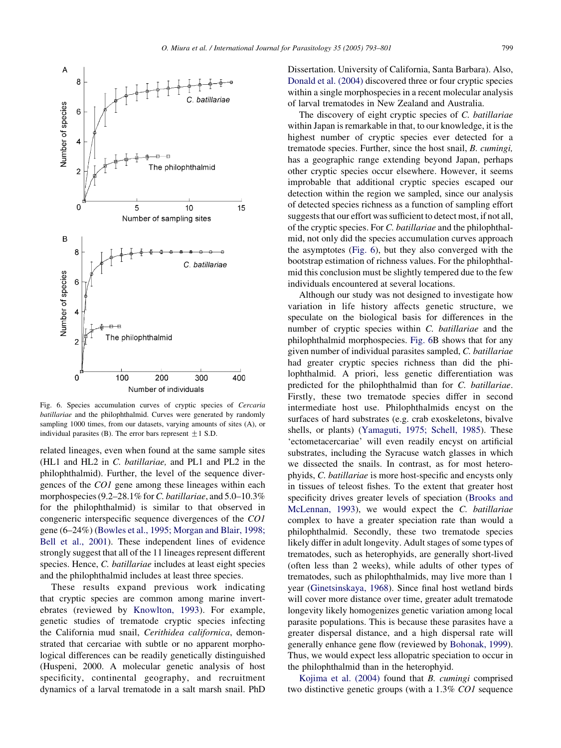<span id="page-6-0"></span>

Fig. 6. Species accumulation curves of cryptic species of Cercaria batillariae and the philophthalmid. Curves were generated by randomly sampling 1000 times, from our datasets, varying amounts of sites (A), or individual parasites (B). The error bars represent  $\pm 1$  S.D.

related lineages, even when found at the same sample sites (HL1 and HL2 in C. batillariae, and PL1 and PL2 in the philophthalmid). Further, the level of the sequence divergences of the CO1 gene among these lineages within each morphospecies  $(9.2–28.1\%$  for C. batillariae, and  $5.0–10.3\%$ for the philophthalmid) is similar to that observed in congeneric interspecific sequence divergences of the CO1 gene (6–24%) ([Bowles et al., 1995; Morgan and Blair, 1998;](#page-8-0) [Bell et al., 2001](#page-8-0)). These independent lines of evidence strongly suggest that all of the 11 lineages represent different species. Hence, C. batillariae includes at least eight species and the philophthalmid includes at least three species.

These results expand previous work indicating that cryptic species are common among marine invertebrates (reviewed by [Knowlton, 1993\)](#page-8-0). For example, genetic studies of trematode cryptic species infecting the California mud snail, Cerithidea californica, demonstrated that cercariae with subtle or no apparent morphological differences can be readily genetically distinguished (Huspeni, 2000. A molecular genetic analysis of host specificity, continental geography, and recruitment dynamics of a larval trematode in a salt marsh snail. PhD

Dissertation. University of California, Santa Barbara). Also, [Donald et al. \(2004\)](#page-8-0) discovered three or four cryptic species within a single morphospecies in a recent molecular analysis of larval trematodes in New Zealand and Australia.

The discovery of eight cryptic species of C. batillariae within Japan is remarkable in that, to our knowledge, it is the highest number of cryptic species ever detected for a trematode species. Further, since the host snail, B. cumingi, has a geographic range extending beyond Japan, perhaps other cryptic species occur elsewhere. However, it seems improbable that additional cryptic species escaped our detection within the region we sampled, since our analysis of detected species richness as a function of sampling effort suggests that our effort was sufficient to detect most, if not all, of the cryptic species. For C. batillariae and the philophthalmid, not only did the species accumulation curves approach the asymptotes (Fig. 6), but they also converged with the bootstrap estimation of richness values. For the philophthalmid this conclusion must be slightly tempered due to the few individuals encountered at several locations.

Although our study was not designed to investigate how variation in life history affects genetic structure, we speculate on the biological basis for differences in the number of cryptic species within C. batillariae and the philophthalmid morphospecies. Fig. 6B shows that for any given number of individual parasites sampled, C. batillariae had greater cryptic species richness than did the philophthalmid. A priori, less genetic differentiation was predicted for the philophthalmid than for C. batillariae. Firstly, these two trematode species differ in second intermediate host use. Philophthalmids encyst on the surfaces of hard substrates (e.g. crab exoskeletons, bivalve shells, or plants) ([Yamaguti, 1975; Schell, 1985](#page-8-0)). These 'ectometacercariae' will even readily encyst on artificial substrates, including the Syracuse watch glasses in which we dissected the snails. In contrast, as for most heterophyids, C. batillariae is more host-specific and encysts only in tissues of teleost fishes. To the extent that greater host specificity drives greater levels of speciation ([Brooks and](#page-8-0) [McLennan, 1993](#page-8-0)), we would expect the C. batillariae complex to have a greater speciation rate than would a philophthalmid. Secondly, these two trematode species likely differ in adult longevity. Adult stages of some types of trematodes, such as heterophyids, are generally short-lived (often less than 2 weeks), while adults of other types of trematodes, such as philophthalmids, may live more than 1 year ([Ginetsinskaya, 1968](#page-8-0)). Since final host wetland birds will cover more distance over time, greater adult trematode longevity likely homogenizes genetic variation among local parasite populations. This is because these parasites have a greater dispersal distance, and a high dispersal rate will generally enhance gene flow (reviewed by [Bohonak, 1999\)](#page-8-0). Thus, we would expect less allopatric speciation to occur in the philophthalmid than in the heterophyid.

[Kojima et al. \(2004\)](#page-8-0) found that B. cumingi comprised two distinctive genetic groups (with a 1.3% CO1 sequence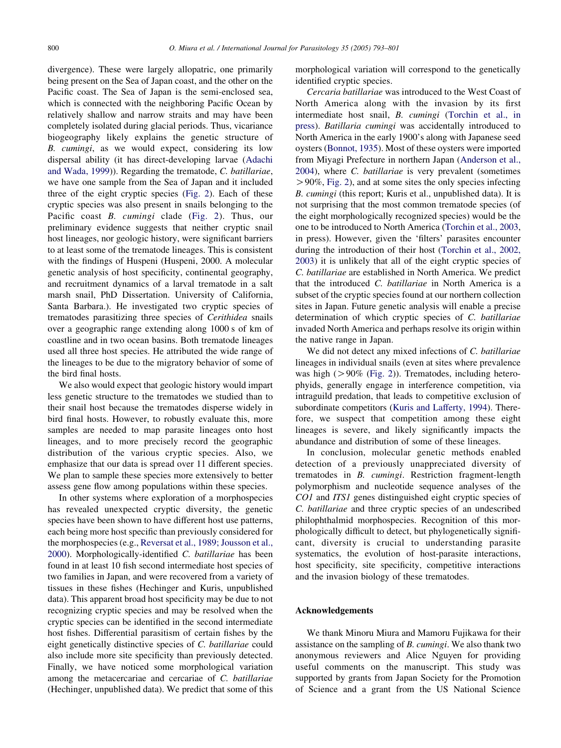divergence). These were largely allopatric, one primarily being present on the Sea of Japan coast, and the other on the Pacific coast. The Sea of Japan is the semi-enclosed sea, which is connected with the neighboring Pacific Ocean by relatively shallow and narrow straits and may have been completely isolated during glacial periods. Thus, vicariance biogeography likely explains the genetic structure of B. cumingi, as we would expect, considering its low dispersal ability (it has direct-developing larvae ([Adachi](#page-8-0) [and Wada, 1999](#page-8-0))). Regarding the trematode, C. batillariae, we have one sample from the Sea of Japan and it included three of the eight cryptic species [\(Fig. 2](#page-3-0)). Each of these cryptic species was also present in snails belonging to the Pacific coast B. cumingi clade ([Fig. 2\)](#page-3-0). Thus, our preliminary evidence suggests that neither cryptic snail host lineages, nor geologic history, were significant barriers to at least some of the trematode lineages. This is consistent with the findings of Huspeni (Huspeni, 2000. A molecular genetic analysis of host specificity, continental geography, and recruitment dynamics of a larval trematode in a salt marsh snail, PhD Dissertation. University of California, Santa Barbara.). He investigated two cryptic species of trematodes parasitizing three species of Cerithidea snails over a geographic range extending along 1000 s of km of coastline and in two ocean basins. Both trematode lineages used all three host species. He attributed the wide range of the lineages to be due to the migratory behavior of some of the bird final hosts.

We also would expect that geologic history would impart less genetic structure to the trematodes we studied than to their snail host because the trematodes disperse widely in bird final hosts. However, to robustly evaluate this, more samples are needed to map parasite lineages onto host lineages, and to more precisely record the geographic distribution of the various cryptic species. Also, we emphasize that our data is spread over 11 different species. We plan to sample these species more extensively to better assess gene flow among populations within these species.

In other systems where exploration of a morphospecies has revealed unexpected cryptic diversity, the genetic species have been shown to have different host use patterns, each being more host specific than previously considered for the morphospecies (e.g., [Reversat et al., 1989; Jousson et al.,](#page-8-0) [2000\)](#page-8-0). Morphologically-identified C. batillariae has been found in at least 10 fish second intermediate host species of two families in Japan, and were recovered from a variety of tissues in these fishes (Hechinger and Kuris, unpublished data). This apparent broad host specificity may be due to not recognizing cryptic species and may be resolved when the cryptic species can be identified in the second intermediate host fishes. Differential parasitism of certain fishes by the eight genetically distinctive species of C. batillariae could also include more site specificity than previously detected. Finally, we have noticed some morphological variation among the metacercariae and cercariae of C. batillariae (Hechinger, unpublished data). We predict that some of this

morphological variation will correspond to the genetically identified cryptic species.

Cercaria batillariae was introduced to the West Coast of North America along with the invasion by its first intermediate host snail, B. cumingi ([Torchin et al., in](#page-8-0) [press](#page-8-0)). Batillaria cumingi was accidentally introduced to North America in the early 1900's along with Japanese seed oysters [\(Bonnot, 1935](#page-8-0)). Most of these oysters were imported from Miyagi Prefecture in northern Japan ([Anderson et al.,](#page-8-0) [2004\)](#page-8-0), where C. batillariae is very prevalent (sometimes  $> 90\%$ , [Fig. 2\)](#page-3-0), and at some sites the only species infecting B. cumingi (this report; Kuris et al., unpublished data). It is not surprising that the most common trematode species (of the eight morphologically recognized species) would be the one to be introduced to North America [\(Torchin et al., 2003](#page-8-0), in press). However, given the 'filters' parasites encounter during the introduction of their host ([Torchin et al., 2002,](#page-8-0) [2003\)](#page-8-0) it is unlikely that all of the eight cryptic species of C. batillariae are established in North America. We predict that the introduced C. batillariae in North America is a subset of the cryptic species found at our northern collection sites in Japan. Future genetic analysis will enable a precise determination of which cryptic species of C. batillariae invaded North America and perhaps resolve its origin within the native range in Japan.

We did not detect any mixed infections of C. batillariae lineages in individual snails (even at sites where prevalence was high ( $>90\%$  ([Fig. 2\)](#page-3-0)). Trematodes, including heterophyids, generally engage in interference competition, via intraguild predation, that leads to competitive exclusion of subordinate competitors ([Kuris and Lafferty, 1994](#page-8-0)). Therefore, we suspect that competition among these eight lineages is severe, and likely significantly impacts the abundance and distribution of some of these lineages.

In conclusion, molecular genetic methods enabled detection of a previously unappreciated diversity of trematodes in B. cumingi. Restriction fragment-length polymorphism and nucleotide sequence analyses of the CO1 and ITS1 genes distinguished eight cryptic species of C. batillariae and three cryptic species of an undescribed philophthalmid morphospecies. Recognition of this morphologically difficult to detect, but phylogenetically significant, diversity is crucial to understanding parasite systematics, the evolution of host-parasite interactions, host specificity, site specificity, competitive interactions and the invasion biology of these trematodes.

# Acknowledgements

We thank Minoru Miura and Mamoru Fujikawa for their assistance on the sampling of B. cumingi. We also thank two anonymous reviewers and Alice Nguyen for providing useful comments on the manuscript. This study was supported by grants from Japan Society for the Promotion of Science and a grant from the US National Science